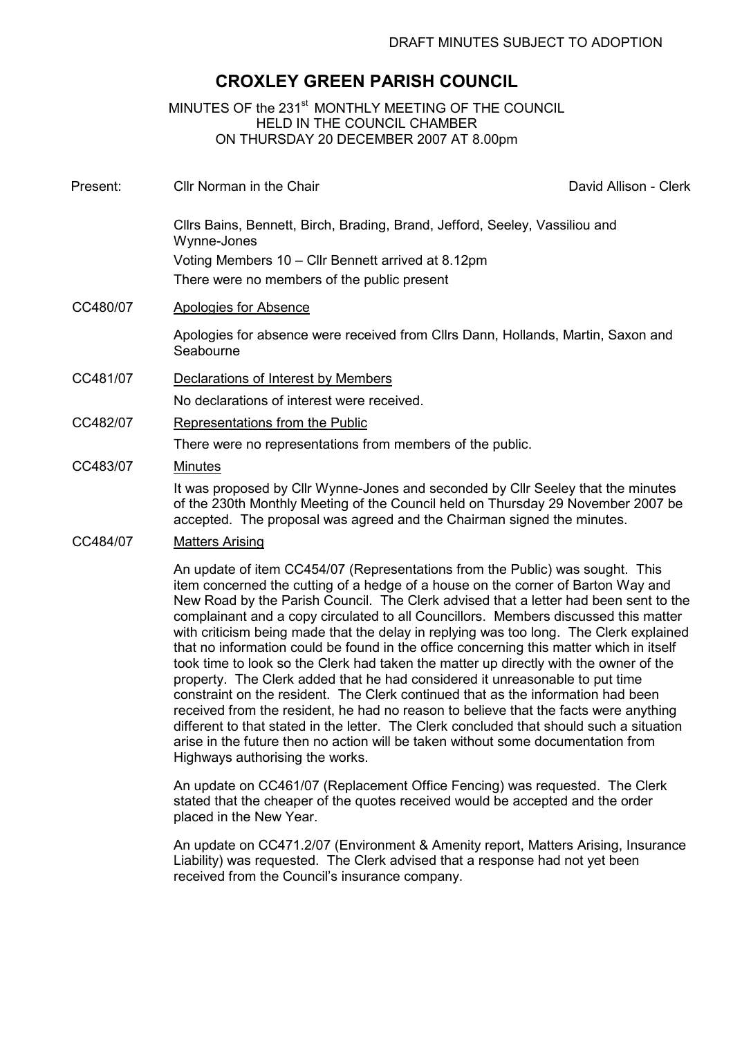# CROXLEY GREEN PARISH COUNCIL

MINUTES OF the 231<sup>st</sup> MONTHLY MEETING OF THE COUNCIL HELD IN THE COUNCIL CHAMBER ON THURSDAY 20 DECEMBER 2007 AT 8.00pm

Present: Cllr Norman in the Chair **David Allison** - Clerk

Cllrs Bains, Bennett, Birch, Brading, Brand, Jefford, Seeley, Vassiliou and Wynne-Jones Voting Members 10 – Cllr Bennett arrived at 8.12pm

There were no members of the public present

CC480/07 Apologies for Absence

Apologies for absence were received from Cllrs Dann, Hollands, Martin, Saxon and **Seabourne** 

CC481/07 Declarations of Interest by Members

No declarations of interest were received.

CC482/07 Representations from the Public

There were no representations from members of the public.

#### CC483/07 Minutes

It was proposed by Cllr Wynne-Jones and seconded by Cllr Seeley that the minutes of the 230th Monthly Meeting of the Council held on Thursday 29 November 2007 be accepted. The proposal was agreed and the Chairman signed the minutes.

#### CC484/07 Matters Arising

An update of item CC454/07 (Representations from the Public) was sought. This item concerned the cutting of a hedge of a house on the corner of Barton Way and New Road by the Parish Council. The Clerk advised that a letter had been sent to the complainant and a copy circulated to all Councillors. Members discussed this matter with criticism being made that the delay in replying was too long. The Clerk explained that no information could be found in the office concerning this matter which in itself took time to look so the Clerk had taken the matter up directly with the owner of the property. The Clerk added that he had considered it unreasonable to put time constraint on the resident. The Clerk continued that as the information had been received from the resident, he had no reason to believe that the facts were anything different to that stated in the letter. The Clerk concluded that should such a situation arise in the future then no action will be taken without some documentation from Highways authorising the works.

An update on CC461/07 (Replacement Office Fencing) was requested. The Clerk stated that the cheaper of the quotes received would be accepted and the order placed in the New Year.

An update on CC471.2/07 (Environment & Amenity report, Matters Arising, Insurance Liability) was requested. The Clerk advised that a response had not yet been received from the Council's insurance company.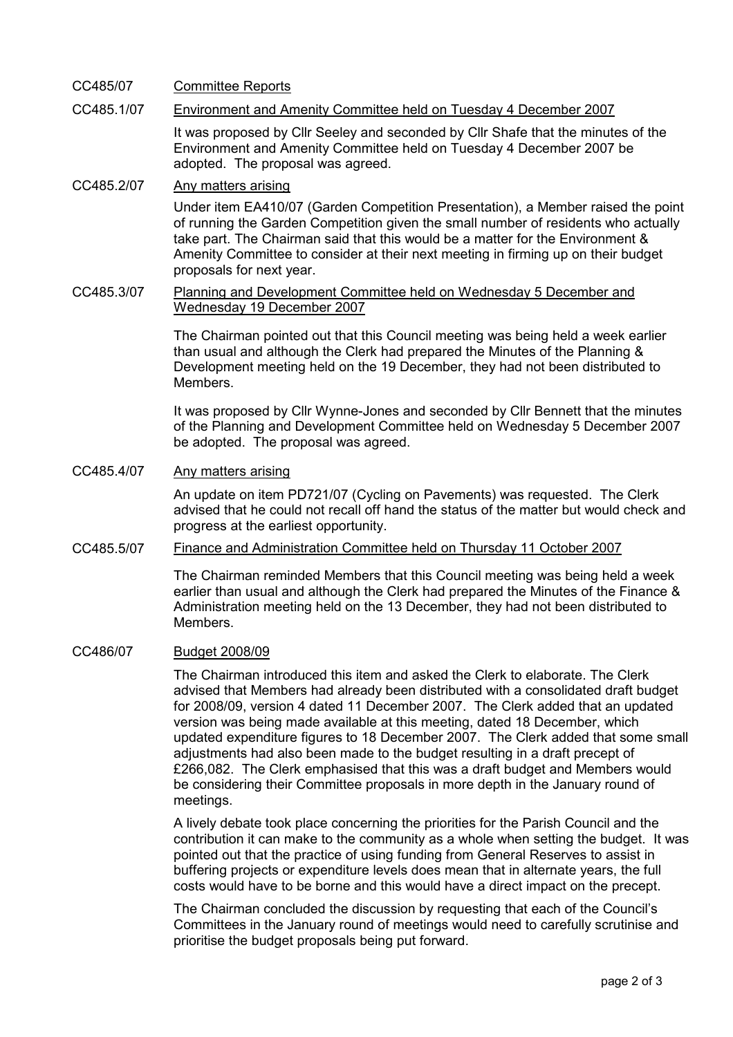### CC485/07 Committee Reports

### CC485.1/07 Environment and Amenity Committee held on Tuesday 4 December 2007

It was proposed by Cllr Seeley and seconded by Cllr Shafe that the minutes of the Environment and Amenity Committee held on Tuesday 4 December 2007 be adopted. The proposal was agreed.

## CC485.2/07 Any matters arising

Under item EA410/07 (Garden Competition Presentation), a Member raised the point of running the Garden Competition given the small number of residents who actually take part. The Chairman said that this would be a matter for the Environment & Amenity Committee to consider at their next meeting in firming up on their budget proposals for next year.

#### CC485.3/07 Planning and Development Committee held on Wednesday 5 December and Wednesday 19 December 2007

The Chairman pointed out that this Council meeting was being held a week earlier than usual and although the Clerk had prepared the Minutes of the Planning & Development meeting held on the 19 December, they had not been distributed to Members.

It was proposed by Cllr Wynne-Jones and seconded by Cllr Bennett that the minutes of the Planning and Development Committee held on Wednesday 5 December 2007 be adopted. The proposal was agreed.

#### CC485.4/07 Any matters arising

An update on item PD721/07 (Cycling on Pavements) was requested. The Clerk advised that he could not recall off hand the status of the matter but would check and progress at the earliest opportunity.

#### CC485.5/07 Finance and Administration Committee held on Thursday 11 October 2007

The Chairman reminded Members that this Council meeting was being held a week earlier than usual and although the Clerk had prepared the Minutes of the Finance & Administration meeting held on the 13 December, they had not been distributed to Members.

#### CC486/07 Budget 2008/09

The Chairman introduced this item and asked the Clerk to elaborate. The Clerk advised that Members had already been distributed with a consolidated draft budget for 2008/09, version 4 dated 11 December 2007. The Clerk added that an updated version was being made available at this meeting, dated 18 December, which updated expenditure figures to 18 December 2007. The Clerk added that some small adjustments had also been made to the budget resulting in a draft precept of £266,082. The Clerk emphasised that this was a draft budget and Members would be considering their Committee proposals in more depth in the January round of meetings.

A lively debate took place concerning the priorities for the Parish Council and the contribution it can make to the community as a whole when setting the budget. It was pointed out that the practice of using funding from General Reserves to assist in buffering projects or expenditure levels does mean that in alternate years, the full costs would have to be borne and this would have a direct impact on the precept.

The Chairman concluded the discussion by requesting that each of the Council's Committees in the January round of meetings would need to carefully scrutinise and prioritise the budget proposals being put forward.